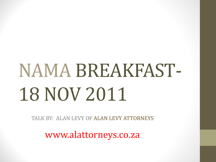# NAMA BREAKFAST-18 NOV 2011

TALK BY: ALAN LEVY OF ALAN LEVY ATTORNEYS

www.alattorneys.co.za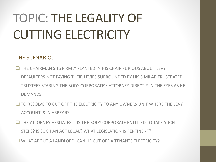## TOPIC: THE LEGALITY OF CUTTING ELECTRICITY

#### THE SCENARIO:

- **THE CHAIRMAN SITS FIRMLY PLANTED IN HIS CHAIR FURIOUS ABOUT LEVY** DEFAULTERS NOT PAYING THEIR LEVIES SURROUNDED BY HIS SIMILAR FRUSTRATED TRUSTEES STARING THE BODY CORPORATE'S ATTORNEY DIRECTLY IN THE EYES AS HE DEMANDS
- $\Box$  TO RESOLVE TO CUT OFF THE FLECTRICITY TO ANY OWNERS UNIT WHERE THE LEVY ACCOUNT IS IN ARREARS.
- $\square$  THE ATTORNEY HESITATES... IS THE BODY CORPORATE ENTITI ED TO TAKE SUCH STEPS? IS SUCH AN ACT LEGAL? WHAT LEGISLATION IS PERTINENT?
- WHAT ABOUT A LANDLORD, CAN HE CUT OFF A TENANTS ELECTRICITY?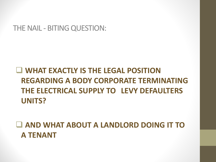THE NAIL - BITING QUESTION:

#### **WHAT EXACTLY IS THE LEGAL POSITION REGARDING A BODY CORPORATE TERMINATING THE ELECTRICAL SUPPLY TO LEVY DEFAULTERS UNITS?**

 **AND WHAT ABOUT A LANDLORD DOING IT TO A TENANT**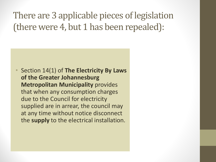There are 3 applicable pieces of legislation (there were 4, but 1 has been repealed):

• Section 14(1) of **The Electricity By Laws of the Greater Johannesburg Metropolitan Municipality** provides that when any consumption charges due to the Council for electricity supplied are in arrear, the council may at any time without notice disconnect the **supply** to the electrical installation.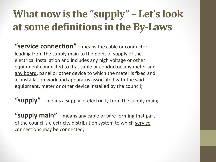### **What now is the "supply" – Let's look at some definitions in the By-Laws**

**"service connection" –** means the cable or conductor leading from the supply main to the point of supply of the electrical installation and includes any high voltage or other equipment connected to that cable or conductor, any meter and any board, panel or other device to which the meter is fixed and all installation work and apparatus associated with the said equipment, meter or other device installed by the council;

**"supply"** – means a supply of electricity from the supply main;

**"supply main"** – means any cable or wire forming that part of the council's electricity distribution system to which service connections may be connected;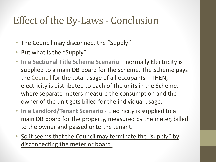### Effect of the By-Laws - Conclusion

- The Council may disconnect the "Supply"
- But what is the "Supply"
- **In a Sectional Title Scheme Scenario** normally Electricity is supplied to a main DB board for the scheme. The Scheme pays the Council for the total usage of all occupants – THEN, electricity is distributed to each of the units in the Scheme, where separate meters measure the consumption and the owner of the unit gets billed for the individual usage.
- **In a Landlord/Tenant Scenario -** Electricity is supplied to a main DB board for the property, measured by the meter, billed to the owner and passed onto the tenant.
- So it seems that the Council may terminate the "supply" by disconnecting the meter or board.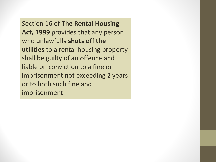Section 16 of **The Rental Housing Act, 1999** provides that any person who unlawfully **shuts off the utilities** to a rental housing property shall be guilty of an offence and liable on conviction to a fine or imprisonment not exceeding 2 years or to both such fine and imprisonment.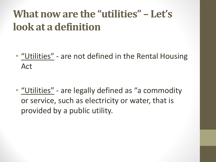### **What now are the "utilities" – Let's look at a definition**

- "Utilities" are not defined in the Rental Housing Act
- "Utilities" are legally defined as "a commodity or service, such as electricity or water, that is provided by a public utility.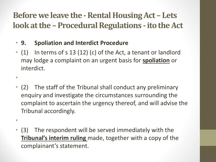#### **Before we leave the -Rental Housing Act – Lets**  look at the - Procedural Regulations - ito the Act

• **9. Spoliation and Interdict Procedure**

•

•

- (1) In terms of s 13 (12) (c) of the Act, a tenant or landlord may lodge a complaint on an urgent basis for **spoliation** or interdict.
- (2) The staff of the Tribunal shall conduct any preliminary enquiry and investigate the circumstances surrounding the complaint to ascertain the urgency thereof, and will advise the Tribunal accordingly.
- (3) The respondent will be served immediately with the **Tribunal's interim ruling** made, together with a copy of the complainant's statement.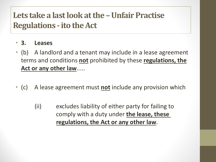#### **Lets take a last look at the –Unfair Practise Regulations -ito the Act**

- **3. Leases**
- (b) A landlord and a tenant may include in a lease agreement terms and conditions **not** prohibited by these **regulations, the Act or any other law**.....
- (c) A lease agreement must **not** include any provision which
	- (ii) excludes liability of either party for failing to comply with a duty under **the lease, these regulations, the Act or any other law**.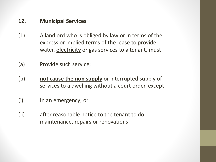#### **12. Municipal Services**

- (1) A landlord who is obliged by law or in terms of the express or implied terms of the lease to provide water, **electricity** or gas services to a tenant, must –
- (a) Provide such service;
- (b) **not cause the non supply** or interrupted supply of services to a dwelling without a court order, except –
- (i) In an emergency; or
- (ii) after reasonable notice to the tenant to do maintenance, repairs or renovations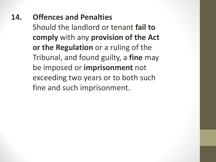**14. Offences and Penalties** Should the landlord or tenant **fail to comply** with any **provision of the Act or the Regulation** or a ruling of the Tribunal, and found guilty, a **fine** may be imposed or **imprisonment** not exceeding two years or to both such fine and such imprisonment.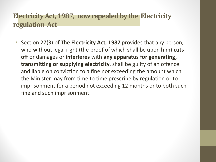#### **Electricity Act, 1987, now repealed by the Electricity regulation Act**

• Section 27(3) of The **Electricity Act, 1987** provides that any person, who without legal right (the proof of which shall be upon him) **cuts off** or damages or **interferes** with **any apparatus for generating, transmitting or supplying electricity**, shall be guilty of an offence and liable on conviction to a fine not exceeding the amount which the Minister may from time to time prescribe by regulation or to imprisonment for a period not exceeding 12 months or to both such fine and such imprisonment.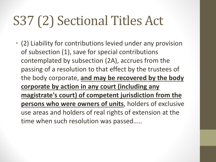## S37 (2) Sectional Titles Act

• (2) Liability for contributions levied under any provision of subsection (1), save for special contributions contemplated by subsection (2A), accrues from the passing of a resolution to that effect by the trustees of the body corporate, **and may be recovered by the body corporate by action in any court (including any magistrate's court) of competent jurisdiction from the persons who were owners of units**, holders of exclusive use areas and holders of real rights of extension at the time when such resolution was passed…..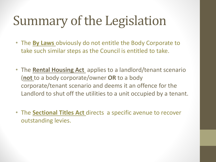## Summary of the Legislation

- The **By Laws** obviously do not entitle the Body Corporate to take such similar steps as the Council is entitled to take.
- The **Rental Housing Act** applies to a landlord/tenant scenario (**not** to a body corporate/owner **OR** to a body corporate/tenant scenario and deems it an offence for the Landlord to shut off the utilities to a unit occupied by a tenant.
- The **Sectional Titles Act** directs a specific avenue to recover outstanding levies.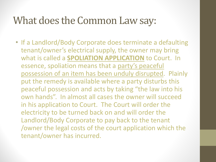#### What does the Common Law say:

• If a Landlord/Body Corporate does terminate a defaulting tenant/owner's electrical supply, the owner may bring what is called a **SPOLIATION APPLICATION** to Court. In essence, spoliation means that a party's peaceful possession of an item has been unduly disrupted. Plainly put the remedy is available where a party disturbs this peaceful possession and acts by taking "the law into his own hands". In almost all cases the owner will succeed in his application to Court. The Court will order the electricity to be turned back on and will order the Landlord/Body Corporate to pay back to the tenant /owner the legal costs of the court application which the tenant/owner has incurred.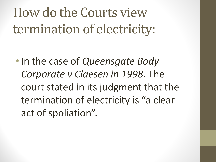How do the Courts view termination of electricity:

•In the case of *Queensgate Body Corporate v Claesen in 1998.* The court stated in its judgment that the termination of electricity is "a clear act of spoliation".